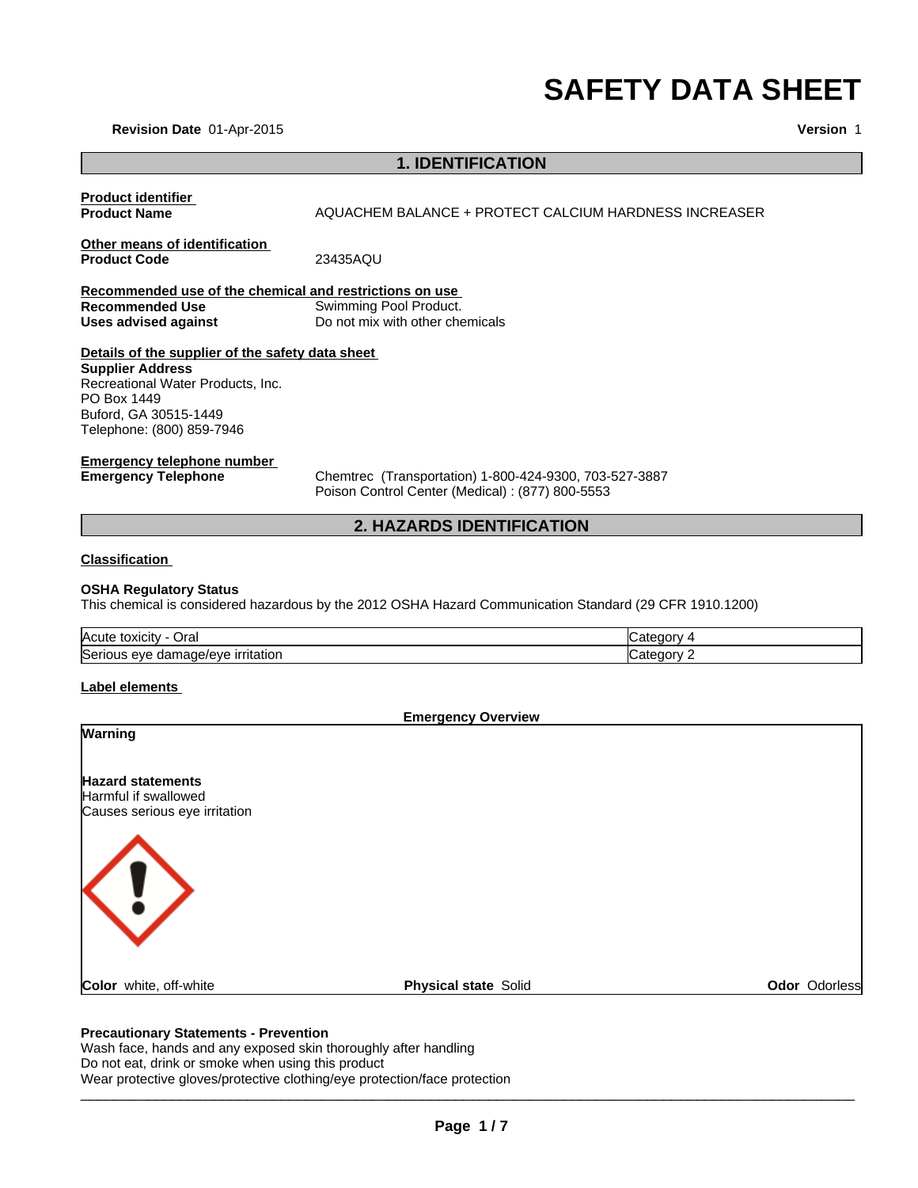# **SAFETY DATA SHEET**

**Version** 1

**Revision Date** 01-Apr-2015

# **1. IDENTIFICATION**

| <b>Product identifier</b>                               |                                                                                                         |            |  |
|---------------------------------------------------------|---------------------------------------------------------------------------------------------------------|------------|--|
| <b>Product Name</b>                                     | AQUACHEM BALANCE + PROTECT CALCIUM HARDNESS INCREASER                                                   |            |  |
| Other means of identification                           |                                                                                                         |            |  |
| <b>Product Code</b>                                     | 23435AQU                                                                                                |            |  |
| Recommended use of the chemical and restrictions on use |                                                                                                         |            |  |
| <b>Recommended Use</b>                                  | Swimming Pool Product.                                                                                  |            |  |
| <b>Uses advised against</b>                             | Do not mix with other chemicals                                                                         |            |  |
| Details of the supplier of the safety data sheet        |                                                                                                         |            |  |
| <b>Supplier Address</b>                                 |                                                                                                         |            |  |
| Recreational Water Products, Inc.                       |                                                                                                         |            |  |
| PO Box 1449                                             |                                                                                                         |            |  |
| Buford, GA 30515-1449                                   |                                                                                                         |            |  |
| Telephone: (800) 859-7946                               |                                                                                                         |            |  |
| <b>Emergency telephone number</b>                       |                                                                                                         |            |  |
| <b>Emergency Telephone</b>                              | Chemtrec (Transportation) 1-800-424-9300, 703-527-3887                                                  |            |  |
|                                                         | Poison Control Center (Medical) : (877) 800-5553                                                        |            |  |
|                                                         | <b>2. HAZARDS IDENTIFICATION</b>                                                                        |            |  |
| <b>Classification</b>                                   |                                                                                                         |            |  |
|                                                         |                                                                                                         |            |  |
| <b>OSHA Regulatory Status</b>                           | This chemical is considered hazardous by the 2012 OSHA Hazard Communication Standard (29 CFR 1910.1200) |            |  |
|                                                         |                                                                                                         |            |  |
| Acute toxicity - Oral                                   |                                                                                                         | Category 4 |  |
| Serious eye damage/eye irritation                       |                                                                                                         | Category 2 |  |
| Label elements                                          |                                                                                                         |            |  |
|                                                         |                                                                                                         |            |  |
| Warning                                                 | <b>Emergency Overview</b>                                                                               |            |  |
|                                                         |                                                                                                         |            |  |
|                                                         |                                                                                                         |            |  |
| <b>Hazard statements</b>                                |                                                                                                         |            |  |
| Harmful if swallowed                                    |                                                                                                         |            |  |
| Causes serious eye irritation                           |                                                                                                         |            |  |
|                                                         |                                                                                                         |            |  |
|                                                         |                                                                                                         |            |  |
|                                                         |                                                                                                         |            |  |
|                                                         |                                                                                                         |            |  |

**Color** white, off-white **Physical state** Solid **Color** *Deal* **Color Colorless** 

# **Precautionary Statements - Prevention**

Wash face, hands and any exposed skin thoroughly after handling Do not eat, drink or smoke when using this product

Wear protective gloves/protective clothing/eye protection/face protection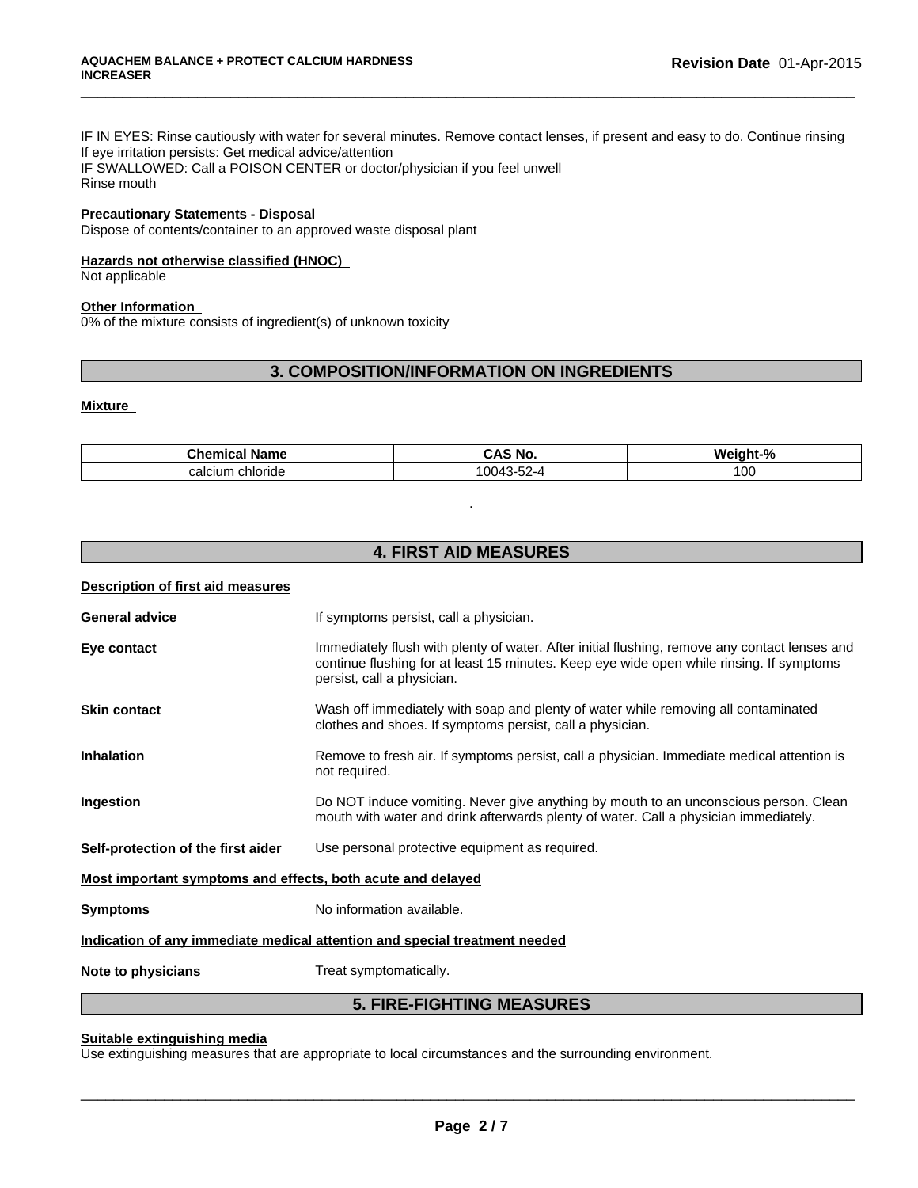IF IN EYES: Rinse cautiously with water for several minutes. Remove contact lenses, if present and easy to do. Continue rinsing If eye irritation persists: Get medical advice/attention IF SWALLOWED: Call a POISON CENTER or doctor/physician if you feel unwell Rinse mouth

\_\_\_\_\_\_\_\_\_\_\_\_\_\_\_\_\_\_\_\_\_\_\_\_\_\_\_\_\_\_\_\_\_\_\_\_\_\_\_\_\_\_\_\_\_\_\_\_\_\_\_\_\_\_\_\_\_\_\_\_\_\_\_\_\_\_\_\_\_\_\_\_\_\_\_\_\_\_\_\_\_\_\_\_\_\_\_\_\_\_\_\_\_

# **Precautionary Statements - Disposal**

Dispose of contents/container to an approved waste disposal plant

### **Hazards not otherwise classified (HNOC)**

Not applicable

#### **Other Information**

0% of the mixture consists of ingredient(s) of unknown toxicity

# **3. COMPOSITION/INFORMATION ON INGREDIENTS**

#### **Mixture**

| Chemical<br>Name    | <b>CAS No</b>                                                  | О.<br>Weinh' |
|---------------------|----------------------------------------------------------------|--------------|
| calcium<br>chloride | $\overline{\phantom{a}}$<br>$\sim$<br>$\mathbf{z}$<br>-24<br>. | 100          |

.

# **4. FIRST AID MEASURES**

| Description of first aid measures                           |                                                                                                                                                                                                                         |
|-------------------------------------------------------------|-------------------------------------------------------------------------------------------------------------------------------------------------------------------------------------------------------------------------|
| <b>General advice</b>                                       | If symptoms persist, call a physician.                                                                                                                                                                                  |
| Eye contact                                                 | Immediately flush with plenty of water. After initial flushing, remove any contact lenses and<br>continue flushing for at least 15 minutes. Keep eye wide open while rinsing. If symptoms<br>persist, call a physician. |
| <b>Skin contact</b>                                         | Wash off immediately with soap and plenty of water while removing all contaminated<br>clothes and shoes. If symptoms persist, call a physician.                                                                         |
| Inhalation                                                  | Remove to fresh air. If symptoms persist, call a physician. Immediate medical attention is<br>not required.                                                                                                             |
| Ingestion                                                   | Do NOT induce vomiting. Never give anything by mouth to an unconscious person. Clean<br>mouth with water and drink afterwards plenty of water. Call a physician immediately.                                            |
| Self-protection of the first aider                          | Use personal protective equipment as required.                                                                                                                                                                          |
| Most important symptoms and effects, both acute and delayed |                                                                                                                                                                                                                         |
| <b>Symptoms</b>                                             | No information available.                                                                                                                                                                                               |
|                                                             | Indication of any immediate medical attention and special treatment needed                                                                                                                                              |
| Note to physicians                                          | Treat symptomatically.                                                                                                                                                                                                  |
|                                                             | <b>5. FIRE-FIGHTING MEASURES</b>                                                                                                                                                                                        |

# **Suitable extinguishing media**

Use extinguishing measures that are appropriate to local circumstances and the surrounding environment.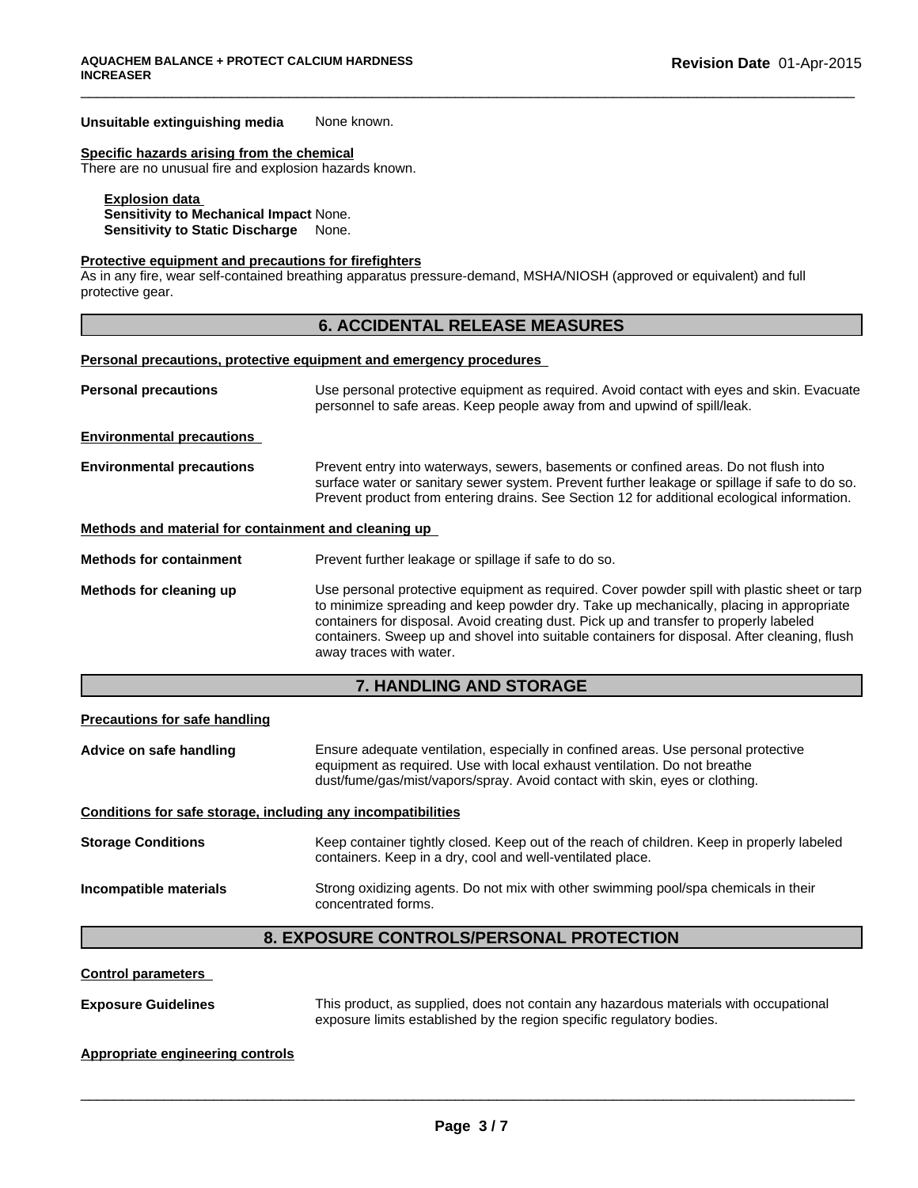#### **Unsuitable extinguishing media** None known.

#### **Specific hazards arising from the chemical**

There are no unusual fire and explosion hazards known.

# **Explosion data**

**Sensitivity to Mechanical Impact** None. **Sensitivity to Static Discharge** None.

#### **Protective equipment and precautions for firefighters**

As in any fire, wear self-contained breathing apparatus pressure-demand, MSHA/NIOSH (approved or equivalent) and full protective gear.

# **6. ACCIDENTAL RELEASE MEASURES**

\_\_\_\_\_\_\_\_\_\_\_\_\_\_\_\_\_\_\_\_\_\_\_\_\_\_\_\_\_\_\_\_\_\_\_\_\_\_\_\_\_\_\_\_\_\_\_\_\_\_\_\_\_\_\_\_\_\_\_\_\_\_\_\_\_\_\_\_\_\_\_\_\_\_\_\_\_\_\_\_\_\_\_\_\_\_\_\_\_\_\_\_\_

#### **Personal precautions, protective equipment and emergency procedures**

| Use personal protective equipment as required. Avoid contact with eyes and skin. Evacuate<br>personnel to safe areas. Keep people away from and upwind of spill/leak.                                                                                                                                                                                                                                        |  |
|--------------------------------------------------------------------------------------------------------------------------------------------------------------------------------------------------------------------------------------------------------------------------------------------------------------------------------------------------------------------------------------------------------------|--|
|                                                                                                                                                                                                                                                                                                                                                                                                              |  |
| Prevent entry into waterways, sewers, basements or confined areas. Do not flush into<br>surface water or sanitary sewer system. Prevent further leakage or spillage if safe to do so.<br>Prevent product from entering drains. See Section 12 for additional ecological information.                                                                                                                         |  |
| Methods and material for containment and cleaning up                                                                                                                                                                                                                                                                                                                                                         |  |
| Prevent further leakage or spillage if safe to do so.                                                                                                                                                                                                                                                                                                                                                        |  |
| Use personal protective equipment as required. Cover powder spill with plastic sheet or tarp<br>to minimize spreading and keep powder dry. Take up mechanically, placing in appropriate<br>containers for disposal. Avoid creating dust. Pick up and transfer to properly labeled<br>containers. Sweep up and shovel into suitable containers for disposal. After cleaning, flush<br>away traces with water. |  |
|                                                                                                                                                                                                                                                                                                                                                                                                              |  |

# **7. HANDLING AND STORAGE**

#### **Precautions for safe handling**

**Advice on safe handling** Ensure adequate ventilation, especially in confined areas. Use personal protective equipment as required. Use with local exhaust ventilation. Do not breathe dust/fume/gas/mist/vapors/spray. Avoid contact with skin, eyes or clothing.

**Conditions for safe storage, including any incompatibilities**

| <b>Storage Conditions</b> | Keep container tightly closed. Keep out of the reach of children. Keep in properly labeled<br>containers. Keep in a dry, cool and well-ventilated place. |
|---------------------------|----------------------------------------------------------------------------------------------------------------------------------------------------------|
| Incompatible materials    | Strong oxidizing agents. Do not mix with other swimming pool/spa chemicals in their<br>concentrated forms.                                               |

# **8. EXPOSURE CONTROLS/PERSONAL PROTECTION**

#### **Control parameters**

**Exposure Guidelines** This product, as supplied, does not contain any hazardous materials with occupational exposure limits established by the region specific regulatory bodies.

 $\overline{\phantom{a}}$  ,  $\overline{\phantom{a}}$  ,  $\overline{\phantom{a}}$  ,  $\overline{\phantom{a}}$  ,  $\overline{\phantom{a}}$  ,  $\overline{\phantom{a}}$  ,  $\overline{\phantom{a}}$  ,  $\overline{\phantom{a}}$  ,  $\overline{\phantom{a}}$  ,  $\overline{\phantom{a}}$  ,  $\overline{\phantom{a}}$  ,  $\overline{\phantom{a}}$  ,  $\overline{\phantom{a}}$  ,  $\overline{\phantom{a}}$  ,  $\overline{\phantom{a}}$  ,  $\overline{\phantom{a}}$ 

# **Appropriate engineering controls**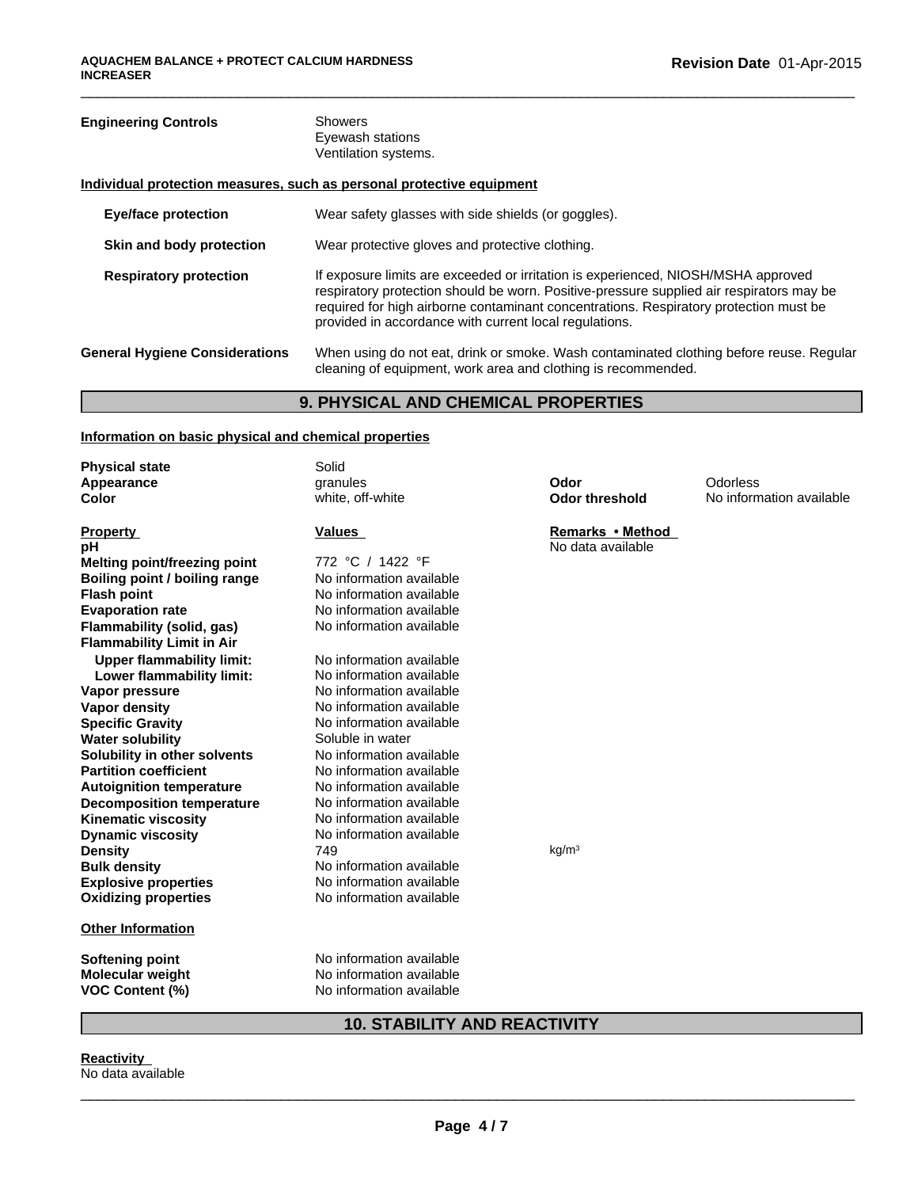# **Engineering Controls** Showers Eyewash stations Ventilation systems. **Individual protection measures, such as personal protective equipment Eye/face protection** Wear safety glasses with side shields (or goggles). **Skin and body protection** Wear protective gloves and protective clothing. **Respiratory protection** If exposure limits are exceeded or irritation is experienced, NIOSH/MSHA approved respiratory protection should be worn. Positive-pressure supplied air respirators may be required for high airborne contaminant concentrations. Respiratory protection must be provided in accordance with current local regulations. **General Hygiene Considerations** When using do not eat, drink or smoke. Wash contaminated clothing before reuse. Regular cleaning of equipment, work area and clothing is recommended.

\_\_\_\_\_\_\_\_\_\_\_\_\_\_\_\_\_\_\_\_\_\_\_\_\_\_\_\_\_\_\_\_\_\_\_\_\_\_\_\_\_\_\_\_\_\_\_\_\_\_\_\_\_\_\_\_\_\_\_\_\_\_\_\_\_\_\_\_\_\_\_\_\_\_\_\_\_\_\_\_\_\_\_\_\_\_\_\_\_\_\_\_\_

# **9. PHYSICAL AND CHEMICAL PROPERTIES**

# **Information on basic physical and chemical properties**

| <b>Physical state</b>                             | Solid                                                |                       |                          |
|---------------------------------------------------|------------------------------------------------------|-----------------------|--------------------------|
| Appearance                                        | granules                                             | Odor                  | Odorless                 |
| Color                                             | white, off-white                                     | <b>Odor threshold</b> | No information available |
| <b>Property</b>                                   | Values                                               | Remarks • Method      |                          |
| рH                                                |                                                      | No data available     |                          |
| <b>Melting point/freezing point</b>               | 772 °C / 1422 °F                                     |                       |                          |
| Boiling point / boiling range                     | No information available                             |                       |                          |
| <b>Flash point</b>                                | No information available                             |                       |                          |
| <b>Evaporation rate</b>                           | No information available                             |                       |                          |
| Flammability (solid, gas)                         | No information available                             |                       |                          |
| <b>Flammability Limit in Air</b>                  |                                                      |                       |                          |
| <b>Upper flammability limit:</b>                  | No information available                             |                       |                          |
| Lower flammability limit:                         | No information available                             |                       |                          |
| Vapor pressure                                    | No information available                             |                       |                          |
| <b>Vapor density</b>                              | No information available                             |                       |                          |
| <b>Specific Gravity</b>                           | No information available                             |                       |                          |
| <b>Water solubility</b>                           | Soluble in water                                     |                       |                          |
| Solubility in other solvents                      | No information available                             |                       |                          |
| <b>Partition coefficient</b>                      | No information available                             |                       |                          |
| <b>Autoignition temperature</b>                   | No information available                             |                       |                          |
| <b>Decomposition temperature</b>                  | No information available                             |                       |                          |
| <b>Kinematic viscosity</b>                        | No information available                             |                       |                          |
| <b>Dynamic viscosity</b>                          | No information available                             |                       |                          |
| <b>Density</b>                                    | 749                                                  | kg/m <sup>3</sup>     |                          |
| <b>Bulk density</b>                               | No information available                             |                       |                          |
| <b>Explosive properties</b>                       | No information available<br>No information available |                       |                          |
| <b>Oxidizing properties</b>                       |                                                      |                       |                          |
| <b>Other Information</b>                          |                                                      |                       |                          |
|                                                   | No information available                             |                       |                          |
| Softening point                                   | No information available                             |                       |                          |
| <b>Molecular weight</b><br><b>VOC Content (%)</b> | No information available                             |                       |                          |
|                                                   |                                                      |                       |                          |

# **10. STABILITY AND REACTIVITY**

**Reactivity**  No data available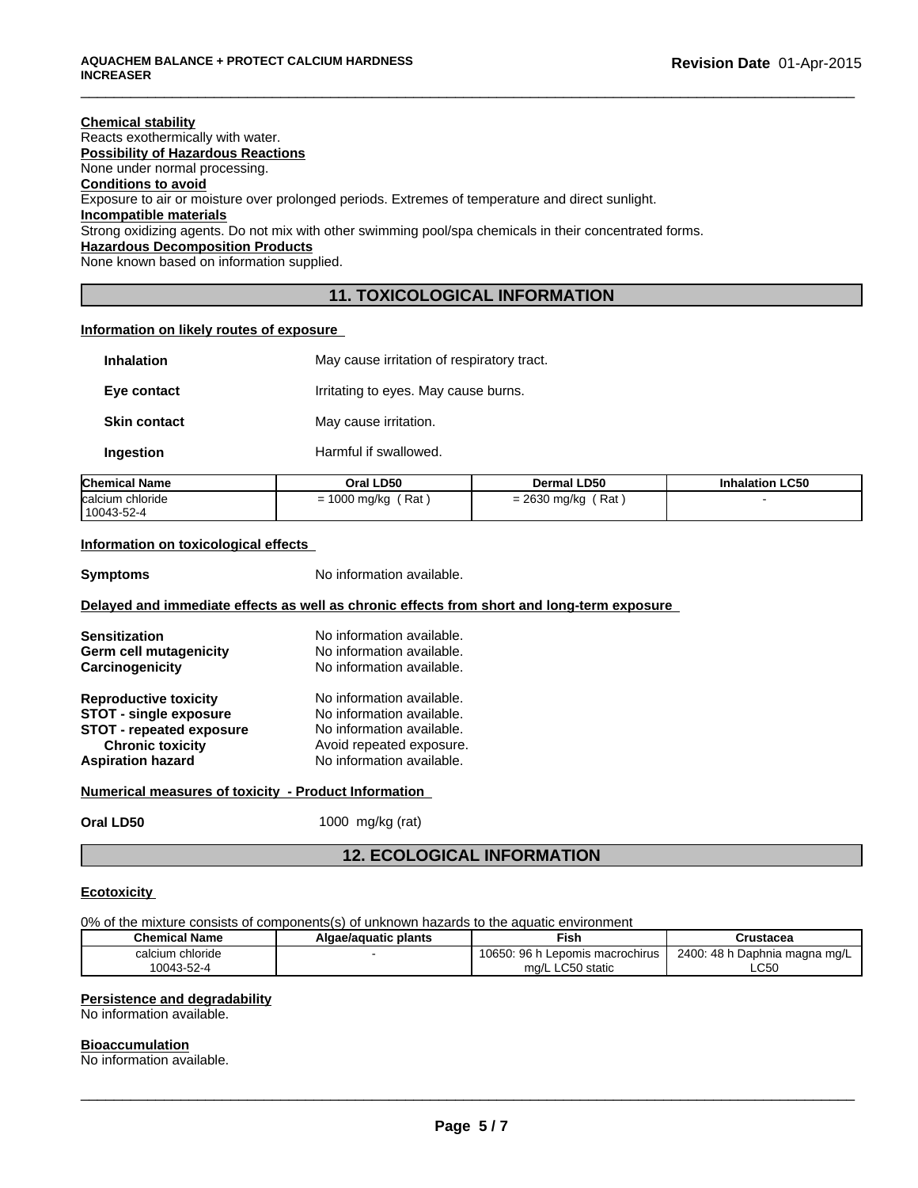### **Chemical stability** Reacts exothermically with water. **Possibility of Hazardous Reactions** None under normal processing. **Conditions to avoid** Exposure to air or moisture over prolonged periods. Extremes of temperature and direct sunlight. **Incompatible materials** Strong oxidizing agents. Do not mix with other swimming pool/spa chemicals in their concentrated forms. **Hazardous Decomposition Products** None known based on information supplied.

# **11. TOXICOLOGICAL INFORMATION**

\_\_\_\_\_\_\_\_\_\_\_\_\_\_\_\_\_\_\_\_\_\_\_\_\_\_\_\_\_\_\_\_\_\_\_\_\_\_\_\_\_\_\_\_\_\_\_\_\_\_\_\_\_\_\_\_\_\_\_\_\_\_\_\_\_\_\_\_\_\_\_\_\_\_\_\_\_\_\_\_\_\_\_\_\_\_\_\_\_\_\_\_\_

# **Information on likely routes of exposure**

| <b>Inhalation</b>   | May cause irritation of respiratory tract. |
|---------------------|--------------------------------------------|
| Eye contact         | Irritating to eyes. May cause burns.       |
| <b>Skin contact</b> | May cause irritation.                      |
| Ingestion           | Harmful if swallowed.                      |

| <b>Chemical Name</b>            | Oral LD50         | <b>Dermal LD50</b>           | <b>Inhalation LC50</b> |
|---------------------------------|-------------------|------------------------------|------------------------|
| Icalcium chloride<br>10043-52-4 | Rat<br>1000 mg/kg | Rat<br>nenn.<br>= 2630 mg/kg |                        |

# **Information on toxicological effects**

**Symptoms** No information available.

# **Delayed and immediate effects as well as chronic effects from short and long-term exposure**

| <b>Sensitization</b><br>Germ cell mutagenicity<br>Carcinogenicity | No information available.<br>No information available.<br>No information available. |
|-------------------------------------------------------------------|-------------------------------------------------------------------------------------|
| <b>Reproductive toxicity</b>                                      | No information available.                                                           |
| <b>STOT - single exposure</b>                                     | No information available.                                                           |
| <b>STOT - repeated exposure</b><br><b>Chronic toxicity</b>        | No information available.<br>Avoid repeated exposure.                               |
| <b>Aspiration hazard</b>                                          | No information available.                                                           |

# **Numerical measures of toxicity - Product Information**

**Oral LD50** 1000 mg/kg (rat)

# **12. ECOLOGICAL INFORMATION**

# **Ecotoxicity**

0% of the mixture consists of components(s) of unknown hazards to the aquatic environment

| <b>Chemical Name</b> | Algae/aguatic plants | Fish                                   | Crustacea                            |
|----------------------|----------------------|----------------------------------------|--------------------------------------|
| calcium chloride     |                      | 96<br>10650<br>. Lepomis macrochirus 1 | ו Daphnia magna mg/L<br>48 h<br>2400 |
| 4-52-4∪س             |                      | ∟C50 static<br>ma/l                    | C50<br>ື່                            |

## **Persistence and degradability**

No information available.

#### **Bioaccumulation**

No information available.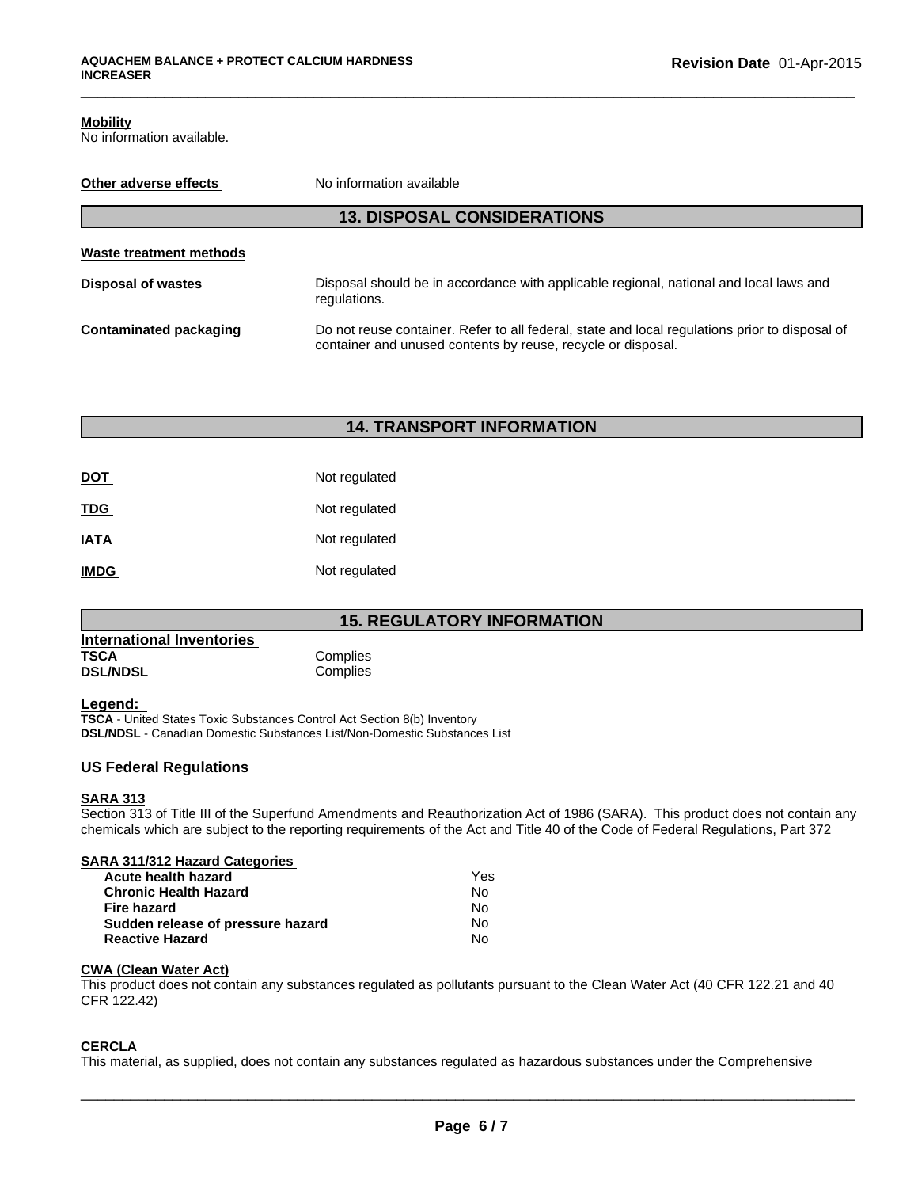# **Mobility**

No information available.

| No information available<br>Other adverse effects |                                                                                                                                                                |  |  |
|---------------------------------------------------|----------------------------------------------------------------------------------------------------------------------------------------------------------------|--|--|
| <b>13. DISPOSAL CONSIDERATIONS</b>                |                                                                                                                                                                |  |  |
| Waste treatment methods                           |                                                                                                                                                                |  |  |
| <b>Disposal of wastes</b>                         | Disposal should be in accordance with applicable regional, national and local laws and<br>regulations.                                                         |  |  |
| <b>Contaminated packaging</b>                     | Do not reuse container. Refer to all federal, state and local regulations prior to disposal of<br>container and unused contents by reuse, recycle or disposal. |  |  |

\_\_\_\_\_\_\_\_\_\_\_\_\_\_\_\_\_\_\_\_\_\_\_\_\_\_\_\_\_\_\_\_\_\_\_\_\_\_\_\_\_\_\_\_\_\_\_\_\_\_\_\_\_\_\_\_\_\_\_\_\_\_\_\_\_\_\_\_\_\_\_\_\_\_\_\_\_\_\_\_\_\_\_\_\_\_\_\_\_\_\_\_\_

# **14. TRANSPORT INFORMATION**

| DOT         | Not regulated |
|-------------|---------------|
| TDG         | Not regulated |
| <b>ATAI</b> | Not regulated |
| <b>IMDG</b> | Not regulated |

# **15. REGULATORY INFORMATION**

| International Inventories |          |  |
|---------------------------|----------|--|
| <b>TSCA</b>               | Complies |  |
| <b>DSL/NDSL</b>           | Complies |  |

# **Legend:**

**TSCA** - United States Toxic Substances Control Act Section 8(b) Inventory **DSL/NDSL** - Canadian Domestic Substances List/Non-Domestic Substances List

# **US Federal Regulations**

# **SARA 313**

Section 313 of Title III of the Superfund Amendments and Reauthorization Act of 1986 (SARA). This product does not contain any chemicals which are subject to the reporting requirements of the Act and Title 40 of the Code of Federal Regulations, Part 372

### **SARA 311/312 Hazard Categories**

| Acute health hazard               | Yes |  |
|-----------------------------------|-----|--|
| <b>Chronic Health Hazard</b>      | N٥  |  |
| Fire hazard                       | N٥  |  |
| Sudden release of pressure hazard | N٥  |  |
| <b>Reactive Hazard</b>            | N٥  |  |

# **CWA (Clean Water Act)**

This product does not contain any substances regulated as pollutants pursuant to the Clean Water Act (40 CFR 122.21 and 40 CFR 122.42)

## **CERCLA**

This material, as supplied, does not contain any substances regulated as hazardous substances under the Comprehensive